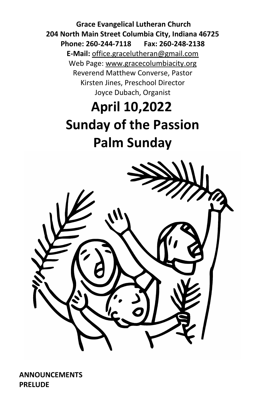**Grace Evangelical Lutheran Church 204 North Main Street Columbia City, Indiana 46725 Phone: 260-244-7118 Fax: 260-248-2138 E-Mail:** office.gracelutheran@gmail.com Web Page: [www.gracecolumbiacity.org](http://www.gracecolumbiacity.org/) Reverend Matthew Converse, Pastor Kirsten Jines, Preschool Director Joyce Dubach, Organist

# **April 10,2022 Sunday of the Passion Palm Sunday**



**ANNOUNCEMENTS PRELUDE**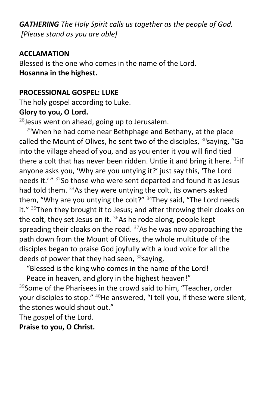*GATHERING The Holy Spirit calls us together as the people of God. [Please stand as you are able]*

## **ACCLAMATION**

Blessed is the one who comes in the name of the Lord. **Hosanna in the highest.**

#### **PROCESSIONAL GOSPEL: LUKE**

The holy gospel according to Luke.

# **Glory to you, O Lord.**

 $^{28}$ Jesus went on ahead, going up to Jerusalem.

 $29$ When he had come near Bethphage and Bethany, at the place called the Mount of Olives, he sent two of the disciples,  $30$ saying, "Go into the village ahead of you, and as you enter it you will find tied there a colt that has never been ridden. Untie it and bring it here.  $31$ If anyone asks you, 'Why are you untying it?' just say this, 'The Lord needs it.' " 32So those who were sent departed and found it as Jesus had told them. <sup>33</sup>As they were untying the colt, its owners asked them, "Why are you untying the colt?"  $34$ They said, "The Lord needs it."  $35$ Then they brought it to Jesus; and after throwing their cloaks on the colt, they set Jesus on it.  $36$ As he rode along, people kept spreading their cloaks on the road.  $37$ As he was now approaching the path down from the Mount of Olives, the whole multitude of the disciples began to praise God joyfully with a loud voice for all the deeds of power that they had seen,  $38$ saying,

"Blessed is the king who comes in the name of the Lord!

Peace in heaven, and glory in the highest heaven!"

<sup>39</sup>Some of the Pharisees in the crowd said to him, "Teacher, order your disciples to stop." <sup>40</sup>He answered, "I tell you, if these were silent, the stones would shout out."

The gospel of the Lord. **Praise to you, O Christ.**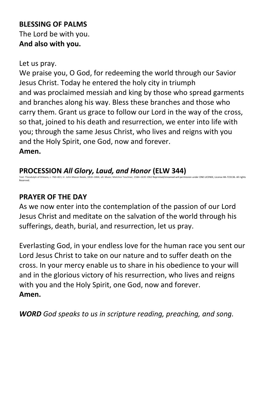# **BLESSING OF PALMS** The Lord be with you. **And also with you.**

#### Let us pray.

We praise you, O God, for redeeming the world through our Savior Jesus Christ. Today he entered the holy city in triumph and was proclaimed messiah and king by those who spread garments and branches along his way. Bless these branches and those who carry them. Grant us grace to follow our Lord in the way of the cross, so that, joined to his death and resurrection, we enter into life with you; through the same Jesus Christ, who lives and reigns with you and the Holy Spirit, one God, now and forever.

**Amen.**

**PROCESSION** *All Glory, Laud, and Honor* **(ELW 344)** Text: Theodulph of Orleans, c. 760–821; tr. John Mason Neale, 1818–1866, alt. Music: Melchior Teschner, 1584–1635 1962 Reprinted/streamed will permission under ONE LICENSE, License #A-723136. All rights Reserved.

## **PRAYER OF THE DAY**

As we now enter into the contemplation of the passion of our Lord Jesus Christ and meditate on the salvation of the world through his sufferings, death, burial, and resurrection, let us pray.

Everlasting God, in your endless love for the human race you sent our Lord Jesus Christ to take on our nature and to suffer death on the cross. In your mercy enable us to share in his obedience to your will and in the glorious victory of his resurrection, who lives and reigns with you and the Holy Spirit, one God, now and forever. **Amen.**

*WORD God speaks to us in scripture reading, preaching, and song.*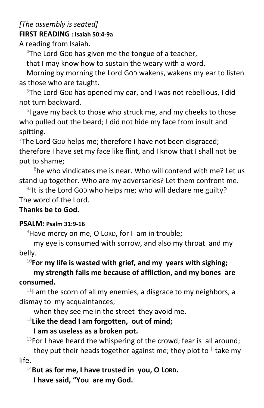# *[The assembly is seated]* **FIRST READING : Isaiah 50:4-9a**

A reading from Isaiah.

 $4$ The Lord Gop has given me the tongue of a teacher,

that I may know how to sustain the weary with a word.

Morning by morning the Lord GOD wakens, wakens my ear to listen as those who are taught.

<sup>5</sup>The Lord GOD has opened my ear, and I was not rebellious, I did not turn backward.

<sup>6</sup>I gave my back to those who struck me, and my cheeks to those who pulled out the beard; I did not hide my face from insult and spitting.

 $7$ The Lord Gop helps me; therefore I have not been disgraced; therefore I have set my face like flint, and I know that I shall not be put to shame;

 $8$ he who vindicates me is near. Who will contend with me? Let us stand up together. Who are my adversaries? Let them confront me.

 $9a$ It is the Lord Gop who helps me; who will declare me guilty? The word of the Lord.

# **Thanks be to God.**

# **PSALM: Psalm 31:9-16**

 $9$ Have mercy on me, O LORD, for I am in trouble;

my eye is consumed with sorrow, and also my throat and my belly.

# <sup>10</sup>**For my life is wasted with grief, and my years with sighing;**

**my strength fails me because of affliction, and my bones are consumed.**

 $11$  am the scorn of all my enemies, a disgrace to my neighbors, a dismay to my acquaintances;

when they see me in the street they avoid me.

# <sup>12</sup>**Like the dead I am forgotten, out of mind;**

# **I am as useless as a broken pot.**

 $13$ For I have heard the whispering of the crowd; fear is all around; they put their heads together against me; they plot to **<sup>|</sup>** take my life.

<sup>14</sup>**But as for me, I have trusted in you, O LORD.**

**I have said, "You are my God.**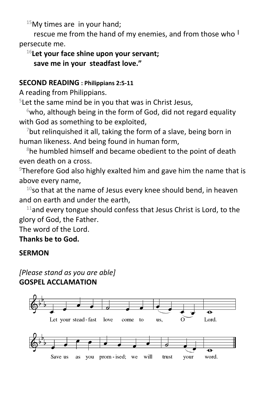$15$ My times are in your hand;

rescue me from the hand of my enemies, and from those who **<sup>|</sup>** persecute me.

# <sup>16</sup>**Let your face shine upon your servant; save me in your steadfast love."**

#### **SECOND READING : Philippians 2:5-11**

A reading from Philippians.

<sup>5</sup> Let the same mind be in you that was in Christ Jesus,

 $6$ who, although being in the form of God, did not regard equality with God as something to be exploited,

 $7$ but relinquished it all, taking the form of a slave, being born in human likeness. And being found in human form,

 $8$ he humbled himself and became obedient to the point of death even death on a cross.

<sup>9</sup>Therefore God also highly exalted him and gave him the name that is above every name,

 $10$ so that at the name of Jesus every knee should bend, in heaven and on earth and under the earth,

 $11$ and every tongue should confess that Jesus Christ is Lord, to the glory of God, the Father.

The word of the Lord.

**Thanks be to God.**

#### **SERMON**

# *[Please stand as you are able]* **GOSPEL ACCLAMATION**

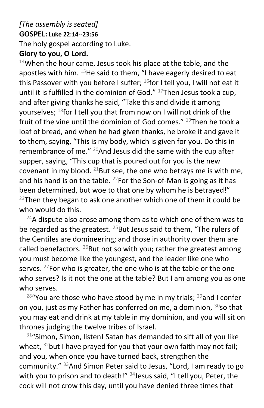## *[The assembly is seated]* **GOSPEL: Luke 22:14--23:56** The holy gospel according to Luke.

# **Glory to you, O Lord.**

 $14$ When the hour came, Jesus took his place at the table, and the apostles with him.  $15$  He said to them, "I have eagerly desired to eat this Passover with you before I suffer;  $^{16}$ for I tell you, I will not eat it until it is fulfilled in the dominion of God."  $17$ Then Jesus took a cup, and after giving thanks he said, "Take this and divide it among yourselves;  $^{18}$  for I tell you that from now on I will not drink of the fruit of the vine until the dominion of God comes."  $^{19}$ Then he took a loaf of bread, and when he had given thanks, he broke it and gave it to them, saying, "This is my body, which is given for you. Do this in remembrance of me." <sup>20</sup>And Jesus did the same with the cup after supper, saying, "This cup that is poured out for you is the new covenant in my blood. <sup>21</sup>But see, the one who betrays me is with me, and his hand is on the table.  $^{22}$ For the Son-of-Man is going as it has been determined, but woe to that one by whom he is betrayed!"  $23$ Then they began to ask one another which one of them it could be who would do this.

 $24A$  dispute also arose among them as to which one of them was to be regarded as the greatest.  $^{25}$ But Jesus said to them, "The rulers of the Gentiles are domineering; and those in authority over them are called benefactors.  $^{26}$ But not so with you; rather the greatest among you must become like the youngest, and the leader like one who serves. <sup>27</sup>For who is greater, the one who is at the table or the one who serves? Is it not the one at the table? But I am among you as one who serves.

 $28^{\circ}$ You are those who have stood by me in my trials;  $29$  and I confer on you, just as my Father has conferred on me, a dominion,  $30$ so that you may eat and drink at my table in my dominion, and you will sit on thrones judging the twelve tribes of Israel.

 $31$ "Simon, Simon, listen! Satan has demanded to sift all of you like wheat,  $32$  but I have prayed for you that your own faith may not fail; and you, when once you have turned back, strengthen the community." <sup>33</sup>And Simon Peter said to Jesus, "Lord, I am ready to go with you to prison and to death!"  $34$  Jesus said, "I tell you, Peter, the cock will not crow this day, until you have denied three times that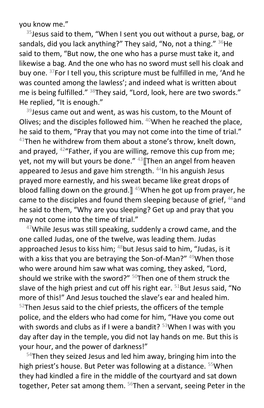you know me."

 $35$  Jesus said to them, "When I sent you out without a purse, bag, or sandals, did you lack anything?" They said, "No, not a thing."  $36$ He said to them, "But now, the one who has a purse must take it, and likewise a bag. And the one who has no sword must sell his cloak and buy one. <sup>37</sup>For I tell you, this scripture must be fulfilled in me, 'And he was counted among the lawless'; and indeed what is written about me is being fulfilled." <sup>38</sup>They said, "Lord, look, here are two swords." He replied, "It is enough."

 $39$  Jesus came out and went, as was his custom, to the Mount of Olives; and the disciples followed him.  $40$ When he reached the place, he said to them, "Pray that you may not come into the time of trial."  $41$ Then he withdrew from them about a stone's throw, knelt down, and prayed, <sup>42</sup>"Father, if you are willing, remove this cup from me; yet, not my will but yours be done." <sup>43</sup> Then an angel from heaven appeared to Jesus and gave him strength. <sup>44</sup>In his anguish Jesus prayed more earnestly, and his sweat became like great drops of blood falling down on the ground.] <sup>45</sup>When he got up from prayer, he came to the disciples and found them sleeping because of grief,  $46$  and he said to them, "Why are you sleeping? Get up and pray that you may not come into the time of trial."

 $47$ While Jesus was still speaking, suddenly a crowd came, and the one called Judas, one of the twelve, was leading them. Judas approached Jesus to kiss him;  $48$  but Jesus said to him, "Judas, is it with a kiss that you are betraying the Son-of-Man?" <sup>49</sup>When those who were around him saw what was coming, they asked, "Lord, should we strike with the sword?"  $50$ Then one of them struck the slave of the high priest and cut off his right ear.  $51$ But Jesus said, "No more of this!" And Jesus touched the slave's ear and healed him.  $52$ Then Jesus said to the chief priests, the officers of the temple police, and the elders who had come for him, "Have you come out with swords and clubs as if I were a bandit?  $53$ When I was with you day after day in the temple, you did not lay hands on me. But this is your hour, and the power of darkness!"

<sup>54</sup>Then they seized Jesus and led him away, bringing him into the high priest's house. But Peter was following at a distance. <sup>55</sup>When they had kindled a fire in the middle of the courtyard and sat down together, Peter sat among them. <sup>56</sup>Then a servant, seeing Peter in the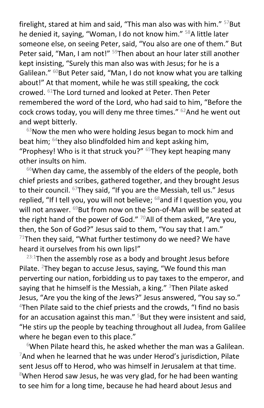firelight, stared at him and said, "This man also was with him."  $57$ But he denied it, saying, "Woman, I do not know him." <sup>58</sup>A little later someone else, on seeing Peter, said, "You also are one of them." But Peter said, "Man, I am not!" <sup>59</sup>Then about an hour later still another kept insisting, "Surely this man also was with Jesus; for he is a Galilean." <sup>60</sup>But Peter said, "Man, I do not know what you are talking about!" At that moment, while he was still speaking, the cock crowed. <sup>61</sup>The Lord turned and looked at Peter. Then Peter remembered the word of the Lord, who had said to him, "Before the cock crows today, you will deny me three times."  $62$ And he went out and wept bitterly.

 $63$ Now the men who were holding Jesus began to mock him and beat him;  $64$ they also blindfolded him and kept asking him, "Prophesy! Who is it that struck you?"  $65$ They kept heaping many other insults on him.

 $66$ When day came, the assembly of the elders of the people, both chief priests and scribes, gathered together, and they brought Jesus to their council. <sup>67</sup>They said, "If you are the Messiah, tell us." Jesus replied, "If I tell you, you will not believe;  $68$  and if I question you, you will not answer. <sup>69</sup>But from now on the Son-of-Man will be seated at the right hand of the power of God."  $70$ All of them asked, "Are you, then, the Son of God?" Jesus said to them, "You say that I am."  $71$ Then they said, "What further testimony do we need? We have heard it ourselves from his own lips!"

 $23:1$ Then the assembly rose as a body and brought Jesus before Pilate. <sup>2</sup>They began to accuse Jesus, saying, "We found this man perverting our nation, forbidding us to pay taxes to the emperor, and saying that he himself is the Messiah, a king."  $3$ Then Pilate asked Jesus, "Are you the king of the Jews?" Jesus answered, "You say so." <sup>4</sup>Then Pilate said to the chief priests and the crowds, "I find no basis for an accusation against this man." <sup>5</sup>But they were insistent and said, "He stirs up the people by teaching throughout all Judea, from Galilee where he began even to this place."

 $6$ When Pilate heard this, he asked whether the man was a Galilean.  $7$ And when he learned that he was under Herod's jurisdiction, Pilate sent Jesus off to Herod, who was himself in Jerusalem at that time.  $8$ When Herod saw Jesus, he was very glad, for he had been wanting to see him for a long time, because he had heard about Jesus and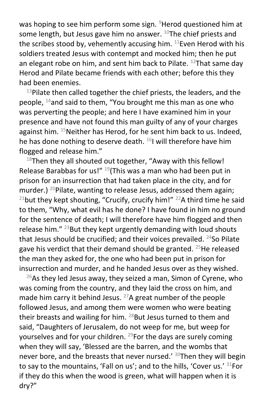was hoping to see him perform some sign. <sup>9</sup>Herod questioned him at some length, but Jesus gave him no answer.  $10$ The chief priests and the scribes stood by, vehemently accusing him.  $11$ Even Herod with his soldiers treated Jesus with contempt and mocked him; then he put an elegant robe on him, and sent him back to Pilate.  $12$ That same day Herod and Pilate became friends with each other; before this they had been enemies.

 $13$ Pilate then called together the chief priests, the leaders, and the people, <sup>14</sup>and said to them, "You brought me this man as one who was perverting the people; and here I have examined him in your presence and have not found this man guilty of any of your charges against him.  $^{15}$ Neither has Herod, for he sent him back to us. Indeed, he has done nothing to deserve death.  $^{16}$ I will therefore have him flogged and release him."

 $18$ Then they all shouted out together, "Away with this fellow! Release Barabbas for us!"  $^{19}$ (This was a man who had been put in prison for an insurrection that had taken place in the city, and for murder.) <sup>20</sup>Pilate, wanting to release Jesus, addressed them again; <sup>21</sup>but they kept shouting, "Crucify, crucify him!"  $^{22}$ A third time he said to them, "Why, what evil has he done? I have found in him no ground for the sentence of death; I will therefore have him flogged and then release him."  $^{23}$ But they kept urgently demanding with loud shouts that Jesus should be crucified; and their voices prevailed.  $^{24}$ So Pilate gave his verdict that their demand should be granted.  $^{25}$ He released the man they asked for, the one who had been put in prison for insurrection and murder, and he handed Jesus over as they wished.

 $26$ As they led Jesus away, they seized a man, Simon of Cyrene, who was coming from the country, and they laid the cross on him, and made him carry it behind Jesus.  $27A$  great number of the people followed Jesus, and among them were women who were beating their breasts and wailing for him.  $^{28}$ But Jesus turned to them and said, "Daughters of Jerusalem, do not weep for me, but weep for yourselves and for your children. <sup>29</sup>For the days are surely coming when they will say, 'Blessed are the barren, and the wombs that never bore, and the breasts that never nursed.' 30Then they will begin to say to the mountains, 'Fall on us'; and to the hills, 'Cover us.' 31For if they do this when the wood is green, what will happen when it is dry?"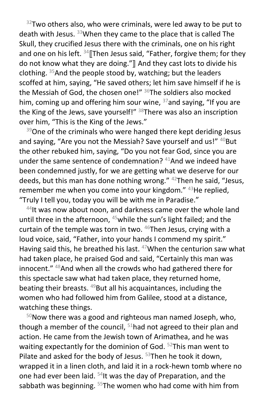$32$ Two others also, who were criminals, were led away to be put to death with Jesus. <sup>33</sup>When they came to the place that is called The Skull, they crucified Jesus there with the criminals, one on his right and one on his left.  $34$  Then Jesus said, "Father, forgive them; for they do not know what they are doing."] And they cast lots to divide his clothing.  $35$  And the people stood by, watching; but the leaders scoffed at him, saying, "He saved others; let him save himself if he is the Messiah of God, the chosen one!"  $36$ The soldiers also mocked him, coming up and offering him sour wine,  $37$  and saying, "If you are the King of the Jews, save yourself!"  $38$ There was also an inscription over him, "This is the King of the Jews."

 $39$ One of the criminals who were hanged there kept deriding Jesus and saying, "Are you not the Messiah? Save yourself and us!" <sup>40</sup>But the other rebuked him, saying, "Do you not fear God, since you are under the same sentence of condemnation? <sup>41</sup>And we indeed have been condemned justly, for we are getting what we deserve for our deeds, but this man has done nothing wrong." <sup>42</sup>Then he said, "Jesus, remember me when you come into your kingdom." <sup>43</sup>He replied, "Truly I tell you, today you will be with me in Paradise."

<sup>44</sup>It was now about noon, and darkness came over the whole land until three in the afternoon, <sup>45</sup> while the sun's light failed; and the curtain of the temple was torn in two.  $46$ Then Jesus, crying with a loud voice, said, "Father, into your hands I commend my spirit." Having said this, he breathed his last. <sup>47</sup>When the centurion saw what had taken place, he praised God and said, "Certainly this man was innocent." <sup>48</sup>And when all the crowds who had gathered there for this spectacle saw what had taken place, they returned home, beating their breasts.  $49$ But all his acquaintances, including the women who had followed him from Galilee, stood at a distance, watching these things.

 $50$ Now there was a good and righteous man named Joseph, who, though a member of the council,  $51$ had not agreed to their plan and action. He came from the Jewish town of Arimathea, and he was waiting expectantly for the dominion of God. <sup>52</sup>This man went to Pilate and asked for the body of Jesus.  $53$ Then he took it down, wrapped it in a linen cloth, and laid it in a rock-hewn tomb where no one had ever been laid. <sup>54</sup>It was the day of Preparation, and the sabbath was beginning.  $55$ The women who had come with him from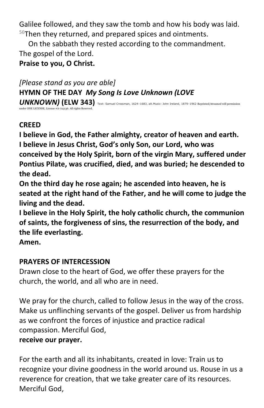Galilee followed, and they saw the tomb and how his body was laid.  $56$ Then they returned, and prepared spices and ointments.

On the sabbath they rested according to the commandment. The gospel of the Lord.

**Praise to you, O Christ.**

*[Please stand as you are able]* **HYMN OF THE DAY** *My Song Is Love Unknown (LOVE*  UNKNOWN) (ELW 343) Text: Samuel Crossman, 1624–1683, alt.Music: John Ireland, 1879–1962 Reprinted/streamed will permission under ONE LICENSE, License #A-723136. All rights Reserved.

# **CREED**

**I believe in God, the Father almighty, creator of heaven and earth. I believe in Jesus Christ, God's only Son, our Lord, who was conceived by the Holy Spirit, born of the virgin Mary, suffered under Pontius Pilate, was crucified, died, and was buried; he descended to the dead.**

**On the third day he rose again; he ascended into heaven, he is seated at the right hand of the Father, and he will come to judge the living and the dead.**

**I believe in the Holy Spirit, the holy catholic church, the communion of saints, the forgiveness of sins, the resurrection of the body, and the life everlasting.** 

**Amen.**

# **PRAYERS OF INTERCESSION**

Drawn close to the heart of God, we offer these prayers for the church, the world, and all who are in need.

We pray for the church, called to follow Jesus in the way of the cross. Make us unflinching servants of the gospel. Deliver us from hardship as we confront the forces of injustice and practice radical compassion. Merciful God,

# **receive our prayer.**

For the earth and all its inhabitants, created in love: Train us to recognize your divine goodness in the world around us. Rouse in us a reverence for creation, that we take greater care of its resources. Merciful God,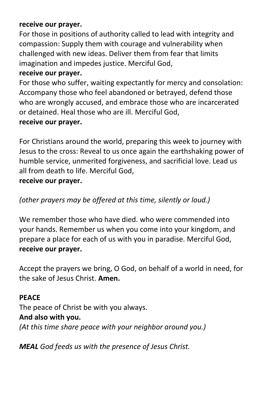## **receive our prayer.**

For those in positions of authority called to lead with integrity and compassion: Supply them with courage and vulnerability when challenged with new ideas. Deliver them from fear that limits imagination and impedes justice. Merciful God,

# **receive our prayer.**

For those who suffer, waiting expectantly for mercy and consolation: Accompany those who feel abandoned or betrayed, defend those who are wrongly accused, and embrace those who are incarcerated or detained. Heal those who are ill. Merciful God,

## **receive our prayer.**

For Christians around the world, preparing this week to journey with Jesus to the cross: Reveal to us once again the earthshaking power of humble service, unmerited forgiveness, and sacrificial love. Lead us all from death to life. Merciful God, **receive our prayer.**

# *(other prayers may be offered at this time, silently or loud.)*

We remember those who have died. who were commended into your hands. Remember us when you come into your kingdom, and prepare a place for each of us with you in paradise. Merciful God, **receive our prayer.**

Accept the prayers we bring, O God, on behalf of a world in need, for the sake of Jesus Christ. **Amen.**

# **PEACE**

The peace of Christ be with you always. **And also with you.** *(At this time share peace with your neighbor around you.)*

*MEAL God feeds us with the presence of Jesus Christ.*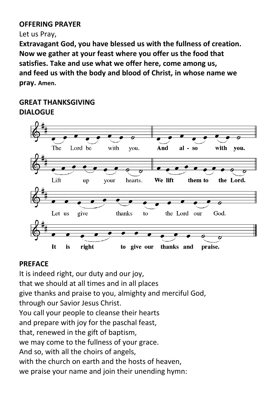#### **OFFERING PRAYER**

Let us Pray,

**Extravagant God, you have blessed us with the fullness of creation. Now we gather at your feast where you offer us the food that satisfies. Take and use what we offer here, come among us, and feed us with the body and blood of Christ, in whose name we pray. Amen.**

## **GREAT THANKSGIVING DIALOGUE**



# **PREFACE**

It is indeed right, our duty and our joy, that we should at all times and in all places give thanks and praise to you, almighty and merciful God, through our Savior Jesus Christ. You call your people to cleanse their hearts and prepare with joy for the paschal feast, that, renewed in the gift of baptism, we may come to the fullness of your grace. And so, with all the choirs of angels, with the church on earth and the hosts of heaven. we praise your name and join their unending hymn: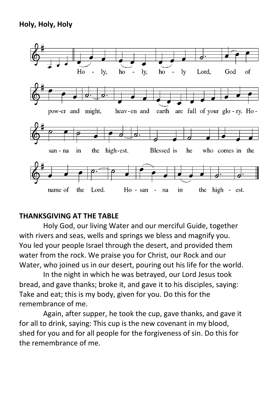

#### **THANKSGIVING AT THE TABLE**

Holy God, our living Water and our merciful Guide, together with rivers and seas, wells and springs we bless and magnify you. You led your people Israel through the desert, and provided them water from the rock. We praise you for Christ, our Rock and our Water, who joined us in our desert, pouring out his life for the world.

In the night in which he was betrayed, our Lord Jesus took bread, and gave thanks; broke it, and gave it to his disciples, saying: Take and eat; this is my body, given for you. Do this for the remembrance of me.

Again, after supper, he took the cup, gave thanks, and gave it for all to drink, saying: This cup is the new covenant in my blood, shed for you and for all people for the forgiveness of sin. Do this for the remembrance of me.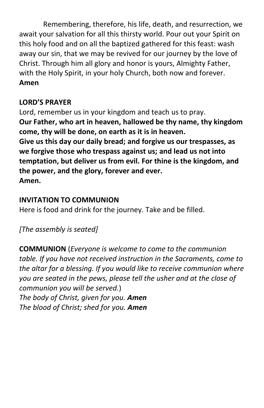Remembering, therefore, his life, death, and resurrection, we await your salvation for all this thirsty world. Pour out your Spirit on this holy food and on all the baptized gathered for this feast: wash away our sin, that we may be revived for our journey by the love of Christ. Through him all glory and honor is yours, Almighty Father, with the Holy Spirit, in your holy Church, both now and forever. **Amen**

# **LORD'S PRAYER**

Lord, remember us in your kingdom and teach us to pray. **Our Father, who art in heaven, hallowed be thy name, thy kingdom come, thy will be done, on earth as it is in heaven. Give us this day our daily bread; and forgive us our trespasses, as we forgive those who trespass against us; and lead us not into temptation, but deliver us from evil. For thine is the kingdom, and the power, and the glory, forever and ever. Amen.**

# **INVITATION TO COMMUNION**

Here is food and drink for the journey. Take and be filled.

*[The assembly is seated]* 

**COMMUNION** (*Everyone is welcome to come to the communion table. If you have not received instruction in the Sacraments, come to the altar for a blessing. If you would like to receive communion where you are seated in the pews, please tell the usher and at the close of communion you will be served.*) *The body of Christ, given for you. Amen The blood of Christ; shed for you. Amen*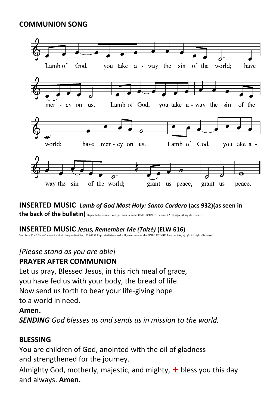## **COMMUNION SONG**



**INSERTED MUSIC** *Lamb of God Most Holy: Santo Cordero* **(acs 932)(as seen in**  the back of the bulletin) Reprinted/streamed will permission under ONE LICENSE, License #A-723136. All rights Reserved.

#### **INSERTED MUSIC** *Jesus, Remember Me (Taizé)* **(ELW 616)**

Text: Luke 23:42; Taizé Community Music: Jacques Berthier, 1923-1994 Reprinted/streamed will permission under ONE LICENSE, License #A-723136. All rights Reserved.

## *[Please stand as you are able]* **PRAYER AFTER COMMUNION**

Let us pray, Blessed Jesus, in this rich meal of grace, you have fed us with your body, the bread of life. Now send us forth to bear your life-giving hope to a world in need.

#### **Amen.**

*SENDING God blesses us and sends us in mission to the world.*

# **BLESSING**

You are children of God, anointed with the oil of gladness and strengthened for the journey.

Almighty God, motherly, majestic, and mighty,  $\pm$  bless you this day and always. **Amen.**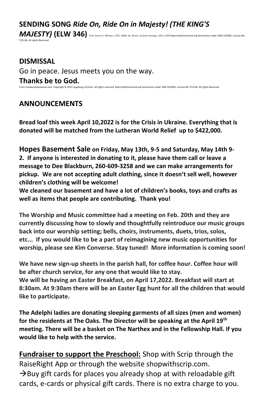#### **SENDING SONG** *Ride On, Ride On in Majesty! (THE KING'S*

*MAJESTY)* **(ELW 346)** Text: Henry H. Milman, 1791–1868, alt. Music: Graham George, 1912–<sup>1993</sup> Reprinted/streamed will permission under ONE LICENSE, License #A-723136. All rights Reserved.

**DISMISSAL** Go in peace. Jesus meets you on the way. **Thanks be to God.**<br>From sundaysandseasons.com. Copyright © 2022 Augsburg Fortress. All rights reset From sundaysandseasons.com. Copyright © 2022 Augsburg Fortress. All rights reserved. Reprinted/streamed will permission under ONE LICENSE, License #A-723136. All rights Reserved.

#### **ANNOUNCEMENTS**

**Bread loaf this week April 10,2022 is for the Crisis in Ukraine. Everything that is donated will be matched from the Lutheran World Relief up to \$422,000.**

**Hopes Basement Sale on Friday, May 13th, 9-5 and Saturday, May 14th 9- 2. If anyone is interested in donating to it, please have them call or leave a message to Dee Blackburn, 260-609-3258 and we can make arrangements for pickup. We are not accepting adult clothing, since it doesn't sell well, however children's clothing will be welcome!**

**We cleaned our basement and have a lot of children's books, toys and crafts as well as items that people are contributing. Thank you!**

**The Worship and Music committee had a meeting on Feb. 20th and they are currently discussing how to slowly and thoughtfully reintroduce our music groups back into our worship setting; bells, choirs, instruments, duets, trios, solos, etc... If you would like to be a part of reimagining new music opportunities for worship, please see Kim Converse. Stay tuned! More information is coming soon!**

**We have new sign-up sheets in the parish hall, for coffee hour. Coffee hour will be after church service, for any one that would like to stay. We will be having an Easter Breakfast, on April 17,2022. Breakfast will start at 8:30am. At 9:30am there will be an Easter Egg hunt for all the children that would like to participate.** 

**The Adelphi ladies are donating sleeping garments of all sizes (men and women) for the residents at The Oaks. The Director will be speaking at the April 19th meeting. There will be a basket on The Narthex and in the Fellowship Hall. If you would like to help with the service.** 

**Fundraiser to support the Preschool:** Shop with Scrip through the RaiseRight App or through the website shopwithscrip.com.  $\rightarrow$ Buy gift cards for places you already shop at with reloadable gift cards, e-cards or physical gift cards. There is no extra charge to you.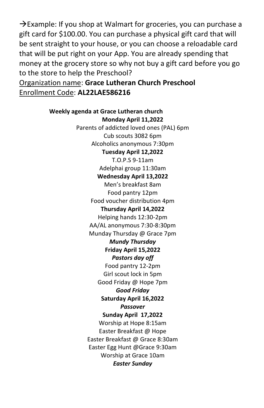$\rightarrow$ Example: If you shop at Walmart for groceries, you can purchase a gift card for \$100.00. You can purchase a physical gift card that will be sent straight to your house, or you can choose a reloadable card that will be put right on your App. You are already spending that money at the grocery store so why not buy a gift card before you go to the store to help the Preschool?

Organization name: **Grace Lutheran Church Preschool** Enrollment Code: **AL22LAE586216**

> **Weekly agenda at Grace Lutheran church Monday April 11,2022** Parents of addicted loved ones (PAL) 6pm Cub scouts 3082 6pm Alcoholics anonymous 7:30pm **Tuesday April 12,2022** T.O.P.S 9-11am Adelphai group 11:30am **Wednesday April 13,2022** Men's breakfast 8am Food pantry 12pm Food voucher distribution 4pm **Thursday April 14,2022** Helping hands 12:30-2pm AA/AL anonymous 7:30-8:30pm Munday Thursday @ Grace 7pm *Mundy Thursday*  **Friday April 15,2022** *Pastors day off* Food pantry 12-2pm Girl scout lock in 5pm Good Friday @ Hope 7pm *Good Friday* **Saturday April 16,2022** *Passover* **Sunday April 17,2022** Worship at Hope 8:15am Easter Breakfast @ Hope Easter Breakfast @ Grace 8:30am Easter Egg Hunt @Grace 9:30am Worship at Grace 10am *Easter Sunday*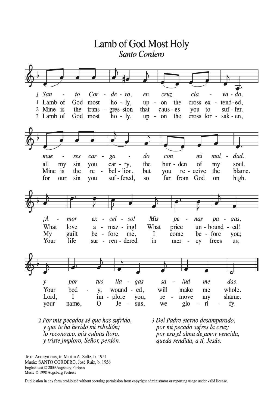

- 2 Por mis pecados sé que has sufrido, y que te ha herido mi rebelión; lo reconozco, mis culpas lloro, y triste imploro, Señor, perdón.
- 3 Del Padre eterno desamparado, por mi pecado sufres la cruz; por eso el alma de amor vencida, queda rendida, a ti, Jesús.

Text: Anonymous; tr. Martin A. Seltz, b. 1951 Music: SANTO CORDERO, José Ruiz, b. 1956 English text © 2009 Augsburg Fortress Music © 1998 Augsburg Fortress

Duplication in any form prohibited without securing permission from copyright administrator or reporting usage under valid license.